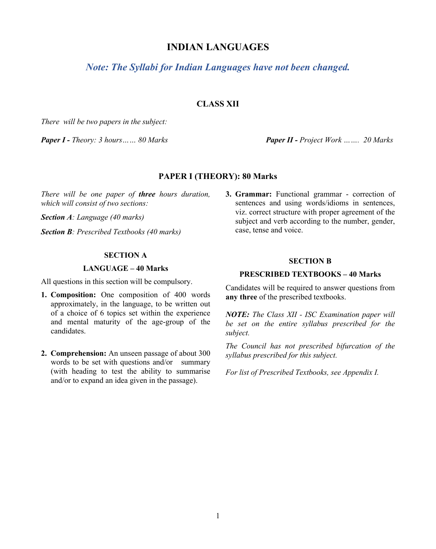# **INDIAN LANGUAGES**

*Note: The Syllabi for Indian Languages have not been changed.*

## **CLASS XII**

*There will be two papers in the subject:*

*Paper I - Theory: 3 hours…… 80 Marks Paper II - Project Work ……. 20 Marks*

### **PAPER I (THEORY): 80 Marks**

*There will be one paper of three hours duration, which will consist of two sections:*

*Section A: Language (40 marks)*

*Section B: Prescribed Textbooks (40 marks)*

### **SECTION A**

#### **LANGUAGE – 40 Marks**

All questions in this section will be compulsory.

- **1. Composition:** One composition of 400 words approximately, in the language, to be written out of a choice of 6 topics set within the experience and mental maturity of the age-group of the candidates.
- **2. Comprehension:** An unseen passage of about 300 words to be set with questions and/or summary (with heading to test the ability to summarise and/or to expand an idea given in the passage).

**3. Grammar:** Functional grammar - correction of sentences and using words/idioms in sentences, viz. correct structure with proper agreement of the subject and verb according to the number, gender, case, tense and voice.

#### **SECTION B**

#### **PRESCRIBED TEXTBOOKS – 40 Marks**

Candidates will be required to answer questions from **any three** of the prescribed textbooks.

*NOTE: The Class XII - ISC Examination paper will be set on the entire syllabus prescribed for the subject.*

*The Council has not prescribed bifurcation of the syllabus prescribed for this subject.*

*For list of Prescribed Textbooks, see Appendix I.*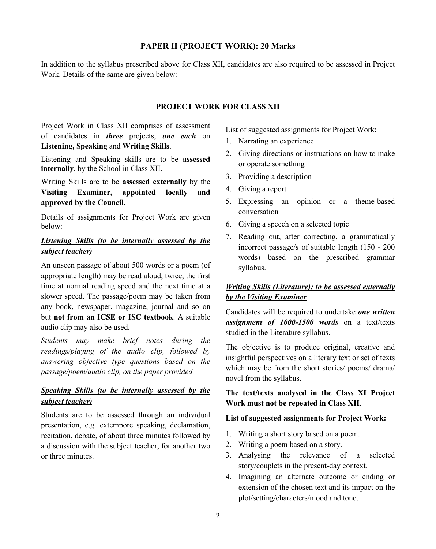### **PAPER II (PROJECT WORK): 20 Marks**

In addition to the syllabus prescribed above for Class XII, candidates are also required to be assessed in Project Work. Details of the same are given below:

### **PROJECT WORK FOR CLASS XII**

Project Work in Class XII comprises of assessment of candidates in *three* projects, *one each* on **Listening, Speaking** and **Writing Skills**.

Listening and Speaking skills are to be **assessed internally**, by the School in Class XII.

Writing Skills are to be **assessed externally** by the **Visiting Examiner, appointed locally and approved by the Council**.

Details of assignments for Project Work are given below:

# *Listening Skills (to be internally assessed by the subject teacher)*

An unseen passage of about 500 words or a poem (of appropriate length) may be read aloud, twice, the first time at normal reading speed and the next time at a slower speed. The passage/poem may be taken from any book, newspaper, magazine, journal and so on but **not from an ICSE or ISC textbook**. A suitable audio clip may also be used.

*Students may make brief notes during the readings/playing of the audio clip, followed by answering objective type questions based on the passage/poem/audio clip, on the paper provided.*

# *Speaking Skills (to be internally assessed by the subject teacher)*

Students are to be assessed through an individual presentation, e.g. extempore speaking, declamation, recitation, debate, of about three minutes followed by a discussion with the subject teacher, for another two or three minutes.

List of suggested assignments for Project Work:

- 1. Narrating an experience
- 2. Giving directions or instructions on how to make or operate something
- 3. Providing a description
- 4. Giving a report
- 5. Expressing an opinion or a theme-based conversation
- 6. Giving a speech on a selected topic
- 7. Reading out, after correcting, a grammatically incorrect passage/s of suitable length (150 - 200 words) based on the prescribed grammar syllabus.

## *Writing Skills (Literature): to be assessed externally by the Visiting Examiner*

Candidates will be required to undertake *one written assignment of 1000-1500 words* on a text/texts studied in the Literature syllabus.

The objective is to produce original, creative and insightful perspectives on a literary text or set of texts which may be from the short stories/ poems/ drama/ novel from the syllabus.

## **The text/texts analysed in the Class XI Project Work must not be repeated in Class XII**.

### **List of suggested assignments for Project Work:**

- 1. Writing a short story based on a poem.
- 2. Writing a poem based on a story.
- 3. Analysing the relevance of a selected story/couplets in the present-day context.
- 4. Imagining an alternate outcome or ending or extension of the chosen text and its impact on the plot/setting/characters/mood and tone.